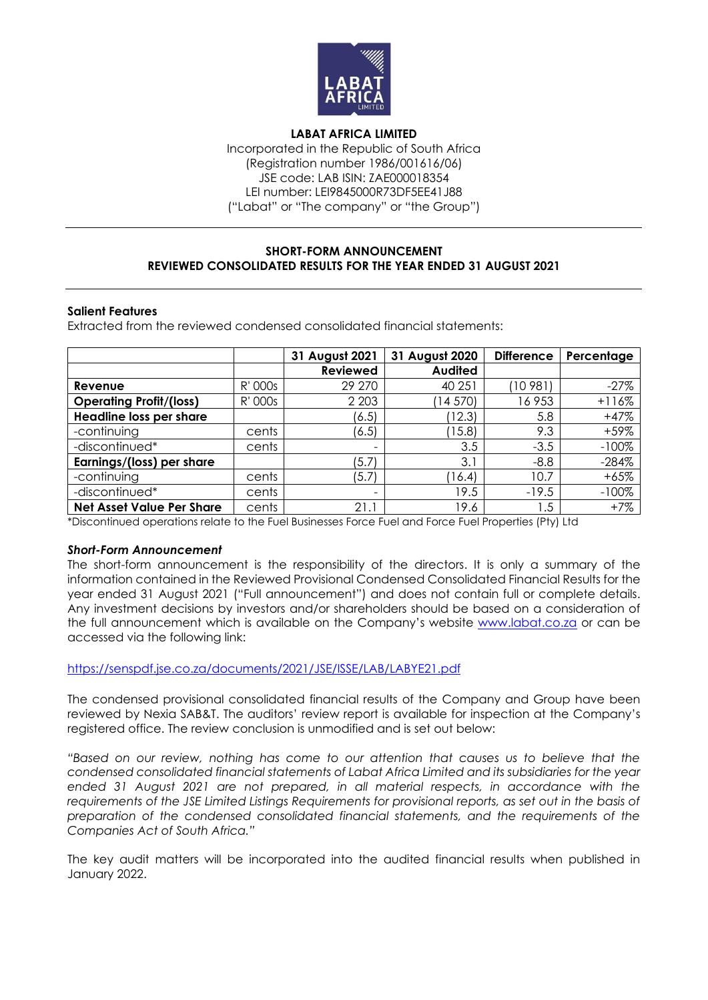

**LABAT AFRICA LIMITED** Incorporated in the Republic of South Africa (Registration number 1986/001616/06) JSE code: LAB ISIN: ZAE000018354 LEI number: LEI9845000R73DF5EE41J88 ("Labat" or "The company" or "the Group")

## **SHORT-FORM ANNOUNCEMENT REVIEWED CONSOLIDATED RESULTS FOR THE YEAR ENDED 31 AUGUST 2021**

### **Salient Features**

Extracted from the reviewed condensed consolidated financial statements:

|                                  |         | 31 August 2021           | 31 August 2020 | <b>Difference</b> | Percentage |
|----------------------------------|---------|--------------------------|----------------|-------------------|------------|
|                                  |         | <b>Reviewed</b>          | <b>Audited</b> |                   |            |
| Revenue                          | R' 000s | 29 270                   | 40 251         | (10981            | $-27%$     |
| <b>Operating Profit/(loss)</b>   | R' 000s | 2 2 0 3                  | 14 570)        | 16953             | $+116%$    |
| Headline loss per share          |         | (6.5)                    | 12.3)          | 5.8               | $+47%$     |
| -continuing                      | cents   | (6.5)                    | (15.8)         | 9.3               | $+59%$     |
| -discontinued*                   | cents   | $\overline{\phantom{a}}$ | 3.5            | $-3.5$            | $-100%$    |
| Earnings/(loss) per share        |         | (5.7)                    | 3.1            | $-8.8$            | $-284%$    |
| -continuing                      | cents   | (5.7)                    | 16.4           | 10.7              | $+65%$     |
| -discontinued*                   | cents   | $\overline{\phantom{0}}$ | 19.5           | $-19.5$           | $-100%$    |
| <b>Net Asset Value Per Share</b> | cents   | 21.1                     | 19.6           | 1.5               | $+7%$      |

\*Discontinued operations relate to the Fuel Businesses Force Fuel and Force Fuel Properties (Pty) Ltd

### *Short-Form Announcement*

The short-form announcement is the responsibility of the directors. It is only a summary of the information contained in the Reviewed Provisional Condensed Consolidated Financial Results for the year ended 31 August 2021 ("Full announcement") and does not contain full or complete details. Any investment decisions by investors and/or shareholders should be based on a consideration of the full announcement which is available on the Company's website [www.labat.co.za](http://www.labat.co.za/) or can be accessed via the following link:

### <https://senspdf.jse.co.za/documents/2021/JSE/ISSE/LAB/LABYE21.pdf>

The condensed provisional consolidated financial results of the Company and Group have been reviewed by Nexia SAB&T. The auditors' review report is available for inspection at the Company's registered office. The review conclusion is unmodified and is set out below:

*"Based on our review, nothing has come to our attention that causes us to believe that the condensed consolidated financial statements of Labat Africa Limited and its subsidiaries for the year ended 31 August 2021 are not prepared, in all material respects, in accordance with the requirements of the JSE Limited Listings Requirements for provisional reports, as set out in the basis of preparation of the condensed consolidated financial statements, and the requirements of the Companies Act of South Africa."*

The key audit matters will be incorporated into the audited financial results when published in January 2022.